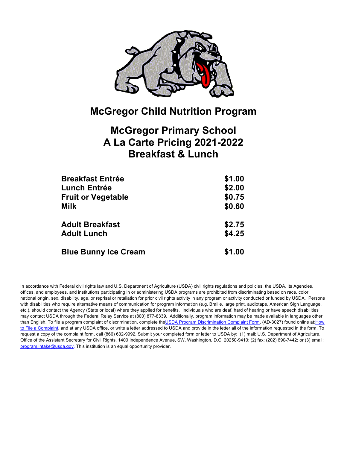

## **McGregor Primary School A La Carte Pricing 2021-2022 Breakfast & Lunch**

| <b>Breakfast Entrée</b>     | \$1.00 |
|-----------------------------|--------|
| Lunch Entrée                | \$2.00 |
| <b>Fruit or Vegetable</b>   | \$0.75 |
| Milk                        | \$0.60 |
| <b>Adult Breakfast</b>      | \$2.75 |
| <b>Adult Lunch</b>          | \$4.25 |
| <b>Blue Bunny Ice Cream</b> | \$1.00 |

In accordance with Federal civil rights law and U.S. Department of Agriculture (USDA) civil rights regulations and policies, the USDA, its Agencies, offices, and employees, and institutions participating in or administering USDA programs are prohibited from discriminating based on race, color, national origin, sex, disability, age, or reprisal or retaliation for prior civil rights activity in any program or activity conducted or funded by USDA. Persons with disabilities who require alternative means of communication for program information (e.g. Braille, large print, audiotape, American Sign Language, etc.), should contact the Agency (State or local) where they applied for benefits. Individuals who are deaf, hard of hearing or have speech disabilities may contact USDA through the Federal Relay Service at (800) 877-8339. Additionally, program information may be made available in languages other than English. To file a program complaint of discrimination, complete the USDA Program Discrimination Complaint Form, (AD-3027) found online at: How to File a Complaint, and at any USDA office, or write a letter addressed to USDA and provide in the letter all of the information requested in the form. To request a copy of the complaint form, call (866) 632-9992. Submit your completed form or letter to USDA by: (1) mail: U.S. Department of Agriculture, Office of the Assistant Secretary for Civil Rights, 1400 Independence Avenue, SW, Washington, D.C. 20250-9410; (2) fax: (202) 690-7442; or (3) email: program.intake@usda.gov. This institution is an equal opportunity provider.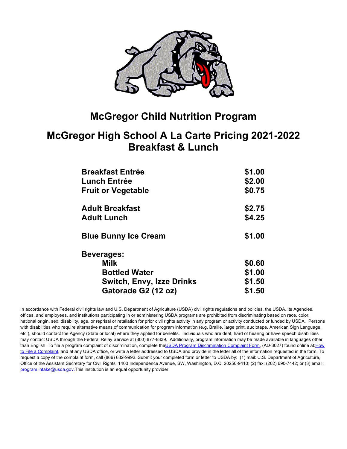

#### **McGregor High School A La Carte Pricing 2021-2022 Breakfast & Lunch**

| <b>Breakfast Entrée</b>          | \$1.00 |
|----------------------------------|--------|
| <b>Lunch Entrée</b>              | \$2.00 |
| <b>Fruit or Vegetable</b>        | \$0.75 |
| <b>Adult Breakfast</b>           | \$2.75 |
| <b>Adult Lunch</b>               | \$4.25 |
| <b>Blue Bunny Ice Cream</b>      | \$1.00 |
| <b>Beverages:</b>                |        |
| <b>Milk</b>                      | \$0.60 |
| <b>Bottled Water</b>             | \$1.00 |
| <b>Switch, Envy, Izze Drinks</b> | \$1.50 |
| Gatorade G2 (12 oz)              | \$1.50 |

In accordance with Federal civil rights law and U.S. Department of Agriculture (USDA) civil rights regulations and policies, the USDA, its Agencies, offices, and employees, and institutions participating in or administering USDA programs are prohibited from discriminating based on race, color, national origin, sex, disability, age, or reprisal or retaliation for prior civil rights activity in any program or activity conducted or funded by USDA. Persons with disabilities who require alternative means of communication for program information (e.g. Braille, large print, audiotape, American Sign Language, etc.), should contact the Agency (State or local) where they applied for benefits. Individuals who are deaf, hard of hearing or have speech disabilities may contact USDA through the Federal Relay Service at (800) 877-8339. Additionally, program information may be made available in languages other than English. To file a program complaint of discrimination, complete the USDA Program Discrimination Complaint Form, (AD-3027) found online at: How to File a Complaint, and at any USDA office, or write a letter addressed to USDA and provide in the letter all of the information requested in the form. To request a copy of the complaint form, call (866) 632-9992. Submit your completed form or letter to USDA by: (1) mail: U.S. Department of Agriculture, Office of the Assistant Secretary for Civil Rights, 1400 Independence Avenue, SW, Washington, D.C. 20250-9410; (2) fax: (202) 690-7442; or (3) email: program.intake@usda.gov.This institution is an equal opportunity provider.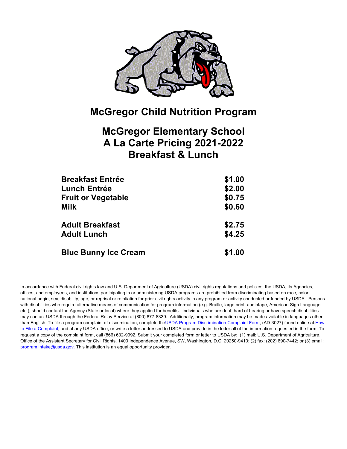

### **McGregor Elementary School A La Carte Pricing 2021-2022 Breakfast & Lunch**

| <b>Breakfast Entrée</b>     | \$1.00 |
|-----------------------------|--------|
| Lunch Entrée                | \$2.00 |
| <b>Fruit or Vegetable</b>   | \$0.75 |
| Milk                        | \$0.60 |
| <b>Adult Breakfast</b>      | \$2.75 |
| <b>Adult Lunch</b>          | \$4.25 |
| <b>Blue Bunny Ice Cream</b> | \$1.00 |

In accordance with Federal civil rights law and U.S. Department of Agriculture (USDA) civil rights regulations and policies, the USDA, its Agencies, offices, and employees, and institutions participating in or administering USDA programs are prohibited from discriminating based on race, color, national origin, sex, disability, age, or reprisal or retaliation for prior civil rights activity in any program or activity conducted or funded by USDA. Persons with disabilities who require alternative means of communication for program information (e.g. Braille, large print, audiotape, American Sign Language, etc.), should contact the Agency (State or local) where they applied for benefits. Individuals who are deaf, hard of hearing or have speech disabilities may contact USDA through the Federal Relay Service at (800) 877-8339. Additionally, program information may be made available in languages other than English. To file a program complaint of discrimination, complete the USDA Program Discrimination Complaint Form, (AD-3027) found online at: How to File a Complaint, and at any USDA office, or write a letter addressed to USDA and provide in the letter all of the information requested in the form. To request a copy of the complaint form, call (866) 632-9992. Submit your completed form or letter to USDA by: (1) mail: U.S. Department of Agriculture, Office of the Assistant Secretary for Civil Rights, 1400 Independence Avenue, SW, Washington, D.C. 20250-9410; (2) fax: (202) 690-7442; or (3) email: program.intake@usda.gov. This institution is an equal opportunity provider.